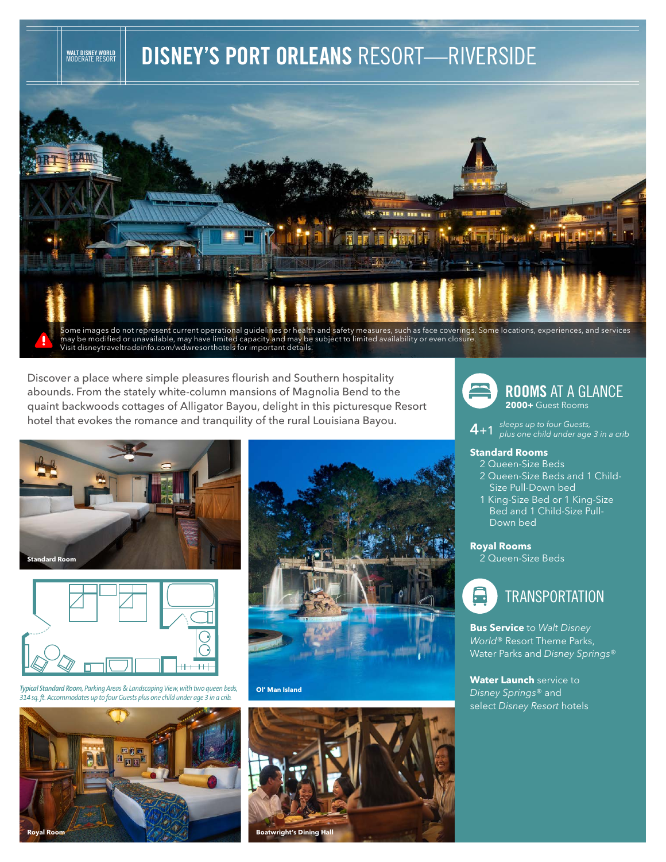# **DISNEY'S PORT ORLEANS** RESORT—RIVERSIDE



Discover a place where simple pleasures flourish and Southern hospitality

abounds. From the stately white-column mansions of Magnolia Bend to the quaint backwoods cottages of Alligator Bayou, delight in this picturesque Resort hotel that evokes the romance and tranquility of the rural Louisiana Bayou.



**WALT DISNEY WORLD** MODERATE RESORT



*Typical Standard Room, Parking Areas & Landscaping View, with two queen beds, 314 sq. ft. Accommodates up to four Guests plus one child under age 3 in a crib.*





#### **Ol' Man Island**



**ROOMS** AT A GLANCE **2000+** Guest Rooms

**4**+1 *sleeps up to four Guests, plus one child under age 3 in a crib* 

### **Standard Rooms**

- 2 Queen-Size Beds
- 2 Queen-Size Beds and 1 Child-Size Pull-Down bed
- 1 King-Size Bed or 1 King-Size Bed and 1 Child-Size Pull-Down bed

## **Royal Rooms**

2 Queen-Size Beds



**Bus Service** to *Walt Disney World*® Resort Theme Parks, Water Parks and *Disney Springs*®

**Water Launch** service to *Disney Springs*® and select *Disney Resort* hotels